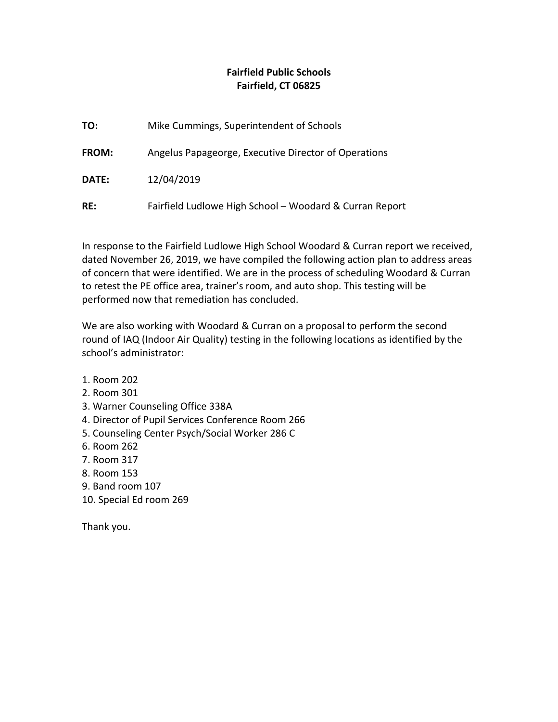## **Fairfield Public Schools Fairfield, CT 06825**

| TO:   | Mike Cummings, Superintendent of Schools                |
|-------|---------------------------------------------------------|
| FROM: | Angelus Papageorge, Executive Director of Operations    |
| DATE: | 12/04/2019                                              |
| RE:   | Fairfield Ludlowe High School - Woodard & Curran Report |

In response to the Fairfield Ludlowe High School Woodard & Curran report we received, dated November 26, 2019, we have compiled the following action plan to address areas of concern that were identified. We are in the process of scheduling Woodard & Curran to retest the PE office area, trainer's room, and auto shop. This testing will be performed now that remediation has concluded.

We are also working with Woodard & Curran on a proposal to perform the second round of IAQ (Indoor Air Quality) testing in the following locations as identified by the school's administrator:

- 1. Room 202
- 2. Room 301
- 3. Warner Counseling Office 338A
- 4. Director of Pupil Services Conference Room 266
- 5. Counseling Center Psych/Social Worker 286 C
- 6. Room 262
- 7. Room 317
- 8. Room 153
- 9. Band room 107
- 10. Special Ed room 269

Thank you.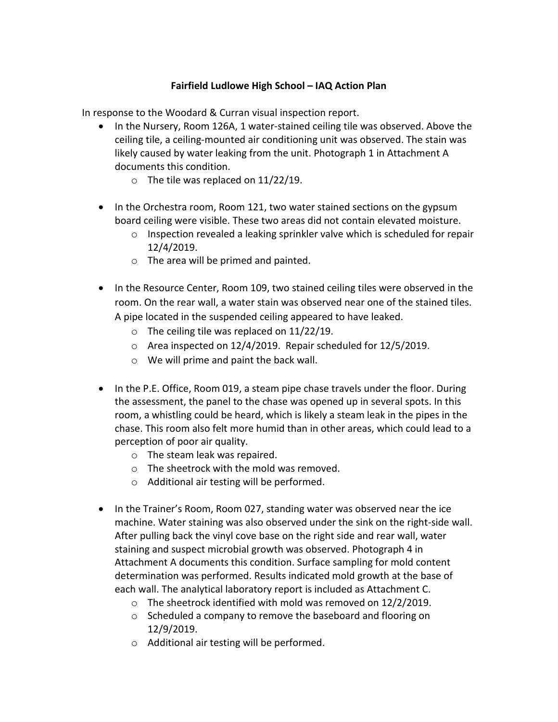## **Fairfield Ludlowe High School – IAQ Action Plan**

In response to the Woodard & Curran visual inspection report.

- In the Nursery, Room 126A, 1 water-stained ceiling tile was observed. Above the ceiling tile, a ceiling-mounted air conditioning unit was observed. The stain was likely caused by water leaking from the unit. Photograph 1 in Attachment A documents this condition.
	- o The tile was replaced on 11/22/19.
- In the Orchestra room, Room 121, two water stained sections on the gypsum board ceiling were visible. These two areas did not contain elevated moisture.
	- o Inspection revealed a leaking sprinkler valve which is scheduled for repair 12/4/2019.
	- o The area will be primed and painted.
- In the Resource Center, Room 109, two stained ceiling tiles were observed in the room. On the rear wall, a water stain was observed near one of the stained tiles. A pipe located in the suspended ceiling appeared to have leaked.
	- o The ceiling tile was replaced on 11/22/19.
	- o Area inspected on 12/4/2019. Repair scheduled for 12/5/2019.
	- o We will prime and paint the back wall.
- In the P.E. Office, Room 019, a steam pipe chase travels under the floor. During the assessment, the panel to the chase was opened up in several spots. In this room, a whistling could be heard, which is likely a steam leak in the pipes in the chase. This room also felt more humid than in other areas, which could lead to a perception of poor air quality.
	- o The steam leak was repaired.
	- o The sheetrock with the mold was removed.
	- o Additional air testing will be performed.
- In the Trainer's Room, Room 027, standing water was observed near the ice machine. Water staining was also observed under the sink on the right-side wall. After pulling back the vinyl cove base on the right side and rear wall, water staining and suspect microbial growth was observed. Photograph 4 in Attachment A documents this condition. Surface sampling for mold content determination was performed. Results indicated mold growth at the base of each wall. The analytical laboratory report is included as Attachment C.
	- o The sheetrock identified with mold was removed on 12/2/2019.
	- o Scheduled a company to remove the baseboard and flooring on 12/9/2019.
	- o Additional air testing will be performed.